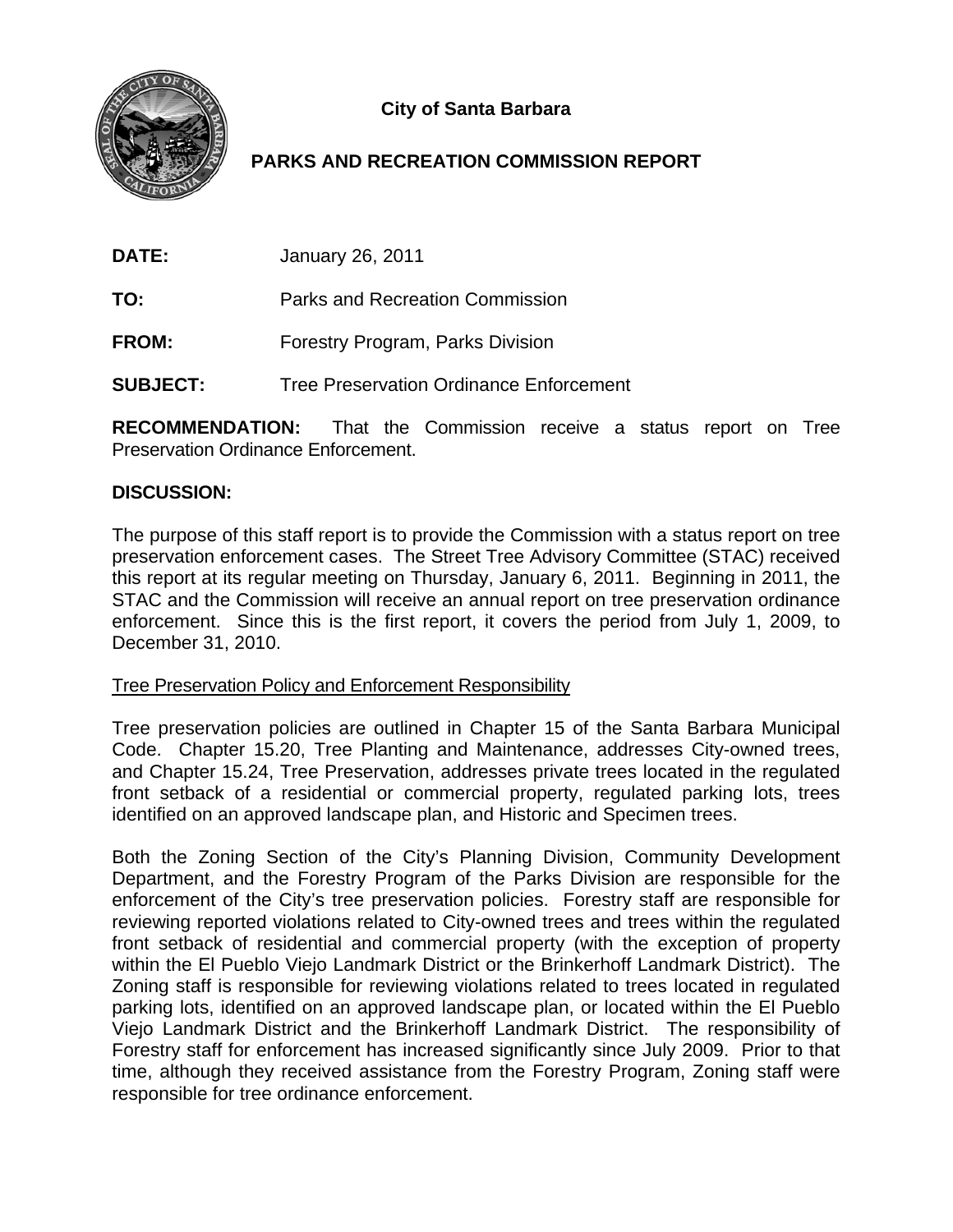

# **City of Santa Barbara**

## **PARKS AND RECREATION COMMISSION REPORT**

| <b>DATE:</b><br>January 26, 2011 |
|----------------------------------|
|----------------------------------|

**TO:** Parks and Recreation Commission

**FROM:** Forestry Program, Parks Division

**SUBJECT:** Tree Preservation Ordinance Enforcement

**RECOMMENDATION:** That the Commission receive a status report on Tree Preservation Ordinance Enforcement.

## **DISCUSSION:**

The purpose of this staff report is to provide the Commission with a status report on tree preservation enforcement cases. The Street Tree Advisory Committee (STAC) received this report at its regular meeting on Thursday, January 6, 2011. Beginning in 2011, the STAC and the Commission will receive an annual report on tree preservation ordinance enforcement. Since this is the first report, it covers the period from July 1, 2009, to December 31, 2010.

## Tree Preservation Policy and Enforcement Responsibility

Tree preservation policies are outlined in Chapter 15 of the Santa Barbara Municipal Code. Chapter 15.20, Tree Planting and Maintenance, addresses City-owned trees, and Chapter 15.24, Tree Preservation, addresses private trees located in the regulated front setback of a residential or commercial property, regulated parking lots, trees identified on an approved landscape plan, and Historic and Specimen trees.

Both the Zoning Section of the City's Planning Division, Community Development Department, and the Forestry Program of the Parks Division are responsible for the enforcement of the City's tree preservation policies. Forestry staff are responsible for reviewing reported violations related to City-owned trees and trees within the regulated front setback of residential and commercial property (with the exception of property within the El Pueblo Viejo Landmark District or the Brinkerhoff Landmark District). The Zoning staff is responsible for reviewing violations related to trees located in regulated parking lots, identified on an approved landscape plan, or located within the El Pueblo Viejo Landmark District and the Brinkerhoff Landmark District. The responsibility of Forestry staff for enforcement has increased significantly since July 2009. Prior to that time, although they received assistance from the Forestry Program, Zoning staff were responsible for tree ordinance enforcement.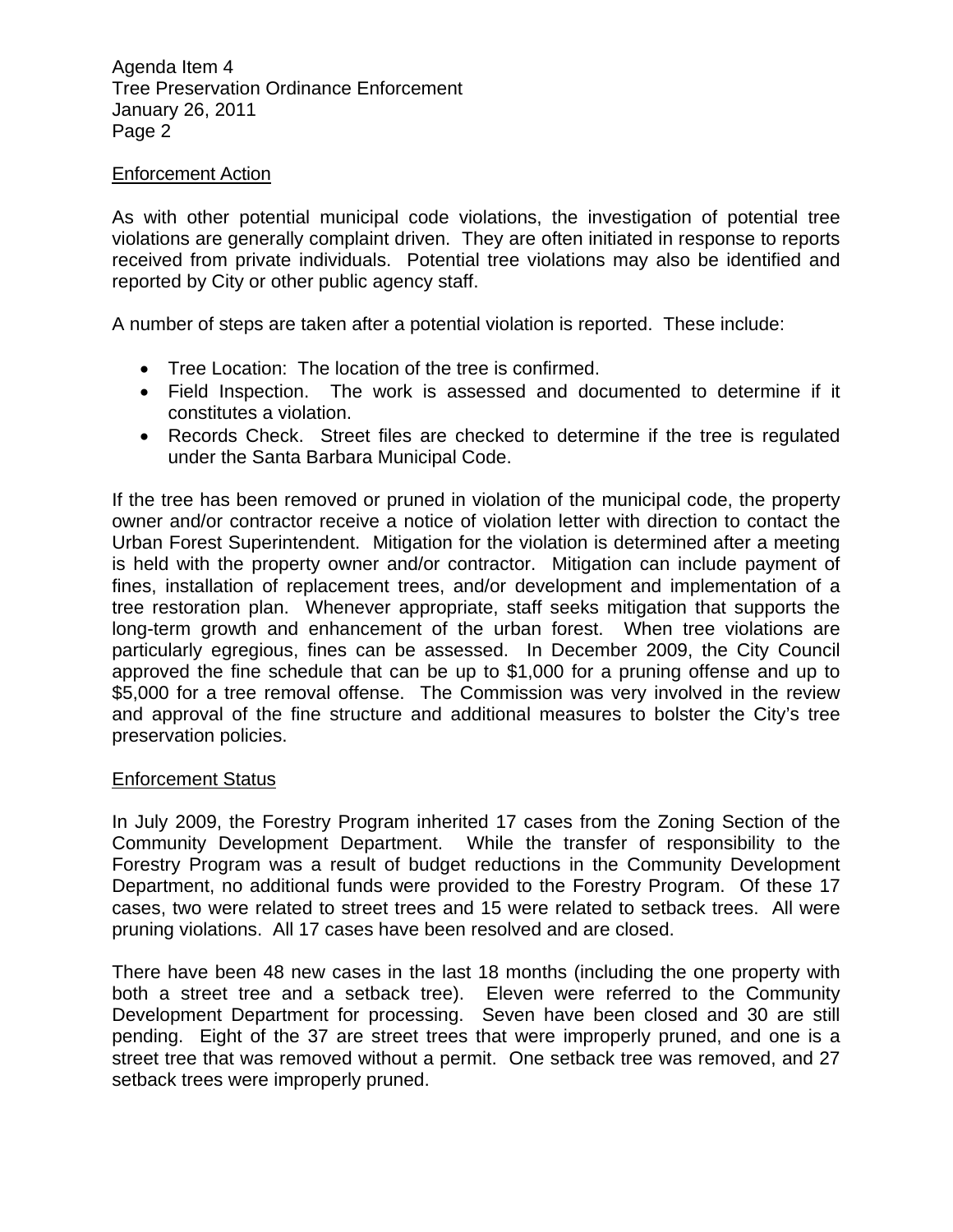Agenda Item 4 Tree Preservation Ordinance Enforcement January 26, 2011 Page 2

#### Enforcement Action

As with other potential municipal code violations, the investigation of potential tree violations are generally complaint driven. They are often initiated in response to reports received from private individuals. Potential tree violations may also be identified and reported by City or other public agency staff.

A number of steps are taken after a potential violation is reported. These include:

- Tree Location: The location of the tree is confirmed.
- Field Inspection. The work is assessed and documented to determine if it constitutes a violation.
- Records Check. Street files are checked to determine if the tree is regulated under the Santa Barbara Municipal Code.

If the tree has been removed or pruned in violation of the municipal code, the property owner and/or contractor receive a notice of violation letter with direction to contact the Urban Forest Superintendent. Mitigation for the violation is determined after a meeting is held with the property owner and/or contractor. Mitigation can include payment of fines, installation of replacement trees, and/or development and implementation of a tree restoration plan. Whenever appropriate, staff seeks mitigation that supports the long-term growth and enhancement of the urban forest. When tree violations are particularly egregious, fines can be assessed. In December 2009, the City Council approved the fine schedule that can be up to \$1,000 for a pruning offense and up to \$5,000 for a tree removal offense. The Commission was very involved in the review and approval of the fine structure and additional measures to bolster the City's tree preservation policies.

#### Enforcement Status

In July 2009, the Forestry Program inherited 17 cases from the Zoning Section of the Community Development Department. While the transfer of responsibility to the Forestry Program was a result of budget reductions in the Community Development Department, no additional funds were provided to the Forestry Program. Of these 17 cases, two were related to street trees and 15 were related to setback trees. All were pruning violations. All 17 cases have been resolved and are closed.

There have been 48 new cases in the last 18 months (including the one property with both a street tree and a setback tree). Eleven were referred to the Community Development Department for processing. Seven have been closed and 30 are still pending. Eight of the 37 are street trees that were improperly pruned, and one is a street tree that was removed without a permit. One setback tree was removed, and 27 setback trees were improperly pruned.